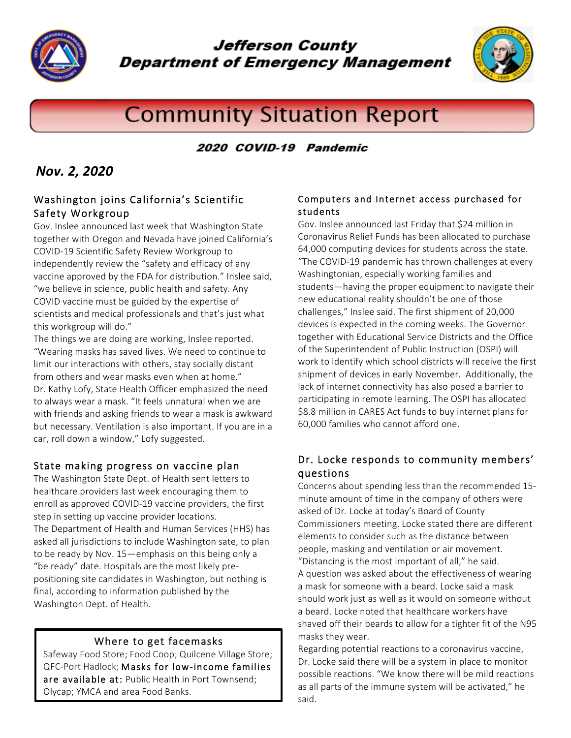

**Jefferson County Department of Emergency Management** 



# **Community Situation Report**

# 2020 COVID-19 Pandemic

# *Nov. 2, 2020*

#### Washington joins California's Scientific Safety Workgroup

Gov. Inslee announced last week that Washington State together with Oregon and Nevada have joined California's COVID-19 Scientific Safety Review Workgroup to independently review the "safety and efficacy of any vaccine approved by the FDA for distribution." Inslee said, "we believe in science, public health and safety. Any COVID vaccine must be guided by the expertise of scientists and medical professionals and that's just what this workgroup will do."

The things we are doing are working, Inslee reported. "Wearing masks has saved lives. We need to continue to limit our interactions with others, stay socially distant from others and wear masks even when at home." Dr. Kathy Lofy, State Health Officer emphasized the need to always wear a mask. "It feels unnatural when we are with friends and asking friends to wear a mask is awkward but necessary. Ventilation is also important. If you are in a car, roll down a window," Lofy suggested.

## State making progress on vaccine plan

The Washington State Dept. of Health sent letters to healthcare providers last week encouraging them to enroll as approved COVID-19 vaccine providers, the first step in setting up vaccine provider locations. The Department of Health and Human Services (HHS) has asked all jurisdictions to include Washington sate, to plan to be ready by Nov. 15—emphasis on this being only a "be ready" date. Hospitals are the most likely prepositioning site candidates in Washington, but nothing is final, according to information published by the Washington Dept. of Health.

#### Where to get facemasks

Safeway Food Store; Food Coop; Quilcene Village Store; QFC-Port Hadlock; Masks for low-income families are available at: Public Health in Port Townsend; Olycap; YMCA and area Food Banks.

#### Computers and Internet access purchased for students

Gov. Inslee announced last Friday that \$24 million in Coronavirus Relief Funds has been allocated to purchase 64,000 computing devices for students across the state. "The COVID-19 pandemic has thrown challenges at every Washingtonian, especially working families and students—having the proper equipment to navigate their new educational reality shouldn't be one of those challenges," Inslee said. The first shipment of 20,000 devices is expected in the coming weeks. The Governor together with Educational Service Districts and the Office of the Superintendent of Public Instruction (OSPI) will work to identify which school districts will receive the first shipment of devices in early November. Additionally, the lack of internet connectivity has also posed a barrier to participating in remote learning. The OSPI has allocated \$8.8 million in CARES Act funds to buy internet plans for 60,000 families who cannot afford one.

## Dr. Locke responds to community members' questions

Concerns about spending less than the recommended 15 minute amount of time in the company of others were asked of Dr. Locke at today's Board of County Commissioners meeting. Locke stated there are different elements to consider such as the distance between people, masking and ventilation or air movement. "Distancing is the most important of all," he said.

A question was asked about the effectiveness of wearing a mask for someone with a beard. Locke said a mask should work just as well as it would on someone without a beard. Locke noted that healthcare workers have shaved off their beards to allow for a tighter fit of the N95 masks they wear.

Regarding potential reactions to a coronavirus vaccine, Dr. Locke said there will be a system in place to monitor possible reactions. "We know there will be mild reactions as all parts of the immune system will be activated," he said.